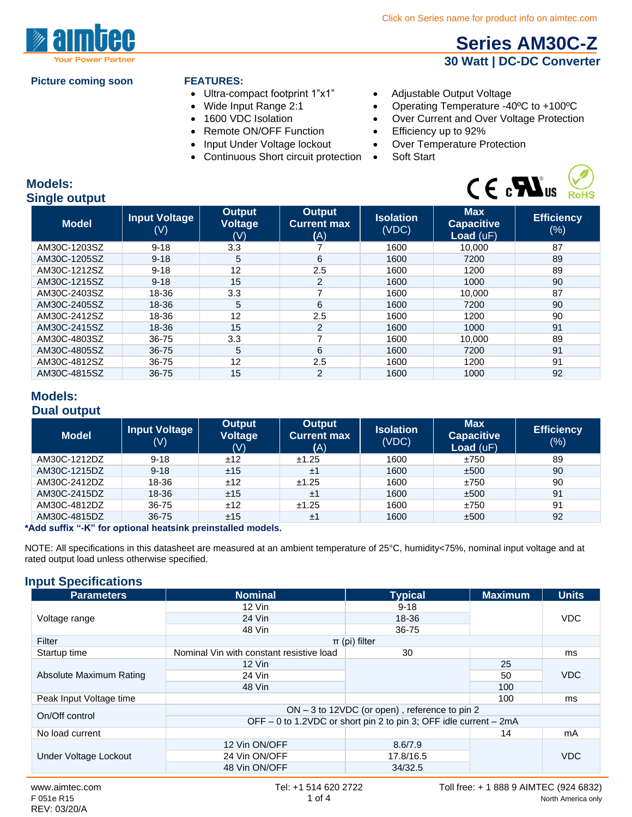

#### **Picture coming soon FEATURES:**

- Ultra-compact footprint 1"x1" Adjustable Output Voltage
- 
- 
- 
- Input Under Voltage lockout
- Continuous Short circuit protection Soft Start
- 
- Wide Input Range 2:1 Operating Temperature -40°C to +100°C
- 1600 VDC Isolation Over Current and Over Voltage Protection
	-
- Remote ON/OFF Function Efficiency up to 92%<br>• Input Under Voltage lockout Over Temperature Protection
	-



 **[Series AM30C-Z](http://www.aimtec.com/am30c-z) 30 Watt | DC-DC Converter**

### **Models: Single output**

| onigio output |                                        |                                 |                                            |                           |                                              |                          |  |
|---------------|----------------------------------------|---------------------------------|--------------------------------------------|---------------------------|----------------------------------------------|--------------------------|--|
| <b>Model</b>  | <b>Input Voltage</b><br>$(\mathsf{V})$ | Output<br><b>Voltage</b><br>(V) | <b>Output</b><br><b>Current max</b><br>(A) | <b>Isolation</b><br>(VDC) | <b>Max</b><br><b>Capacitive</b><br>Load (uF) | <b>Efficiency</b><br>(%) |  |
| AM30C-1203SZ  | $9 - 18$                               | 3.3                             |                                            | 1600                      | 10.000                                       | 87                       |  |
| AM30C-1205SZ  | $9 - 18$                               | 5                               | 6                                          | 1600                      | 7200                                         | 89                       |  |
| AM30C-1212SZ  | $9 - 18$                               | 12                              | $2.5\,$                                    | 1600                      | 1200                                         | 89                       |  |
| AM30C-1215SZ  | $9 - 18$                               | 15                              | $\overline{2}$                             | 1600                      | 1000                                         | 90                       |  |
| AM30C-2403SZ  | 18-36                                  | 3.3                             | 7                                          | 1600                      | 10.000                                       | 87                       |  |
| AM30C-2405SZ  | 18-36                                  | 5                               | 6                                          | 1600                      | 7200                                         | 90                       |  |
| AM30C-2412SZ  | 18-36                                  | 12                              | 2.5                                        | 1600                      | 1200                                         | 90                       |  |
| AM30C-2415SZ  | 18-36                                  | 15                              | 2                                          | 1600                      | 1000                                         | 91                       |  |
| AM30C-4803SZ  | 36-75                                  | 3.3                             | ⇁                                          | 1600                      | 10.000                                       | 89                       |  |
| AM30C-4805SZ  | $36 - 75$                              | 5                               | 6                                          | 1600                      | 7200                                         | 91                       |  |
| AM30C-4812SZ  | 36-75                                  | 12                              | 2.5                                        | 1600                      | 1200                                         | 91                       |  |
| AM30C-4815SZ  | 36-75                                  | 15                              | $\overline{2}$                             | 1600                      | 1000                                         | 92                       |  |

## **Models: Dual output**

| <b>Model</b> | <b>Input Voltage</b><br>$(\mathsf{V})$ | <b>Output</b><br><b>Voltage</b><br>(V) | Output<br><b>Current max</b><br>(A) | <b>Isolation</b><br>(VDC) | <b>Max</b><br><b>Capacitive</b><br>Load $(uF)$ | <b>Efficiency</b><br>$(\%)$ |
|--------------|----------------------------------------|----------------------------------------|-------------------------------------|---------------------------|------------------------------------------------|-----------------------------|
| AM30C-1212DZ | $9 - 18$                               | ±12                                    | ±1.25                               | 1600                      | ±750                                           | 89                          |
| AM30C-1215DZ | $9 - 18$                               | ±15                                    | ±1                                  | 1600                      | ±500                                           | 90                          |
| AM30C-2412DZ | 18-36                                  | ±12                                    | ±1.25                               | 1600                      | ±750                                           | 90                          |
| AM30C-2415DZ | 18-36                                  | ±15                                    | ±1                                  | 1600                      | ±500                                           | 91                          |
| AM30C-4812DZ | 36-75                                  | ±12                                    | ±1.25                               | 1600                      | ±750                                           | 91                          |
| AM30C-4815DZ | 36-75                                  | ±15                                    | ±1                                  | 1600                      | ±500                                           | 92                          |

#### **\*Add suffix "-K" for optional heatsink preinstalled models.**

NOTE: All specifications in this datasheet are measured at an ambient temperature of 25°C, humidity<75%, nominal input voltage and at rated output load unless otherwise specified.

#### **Input Specifications**

| <b>Parameters</b>       | <b>Nominal</b>                                                    | <b>Typical</b>    | <b>Maximum</b> | <b>Units</b> |  |
|-------------------------|-------------------------------------------------------------------|-------------------|----------------|--------------|--|
|                         | $12$ Vin                                                          | $9 - 18$          |                |              |  |
| Voltage range           | 24 Vin                                                            | 18-36             |                | <b>VDC</b>   |  |
|                         | 48 Vin                                                            | 36-75             |                |              |  |
| Filter                  |                                                                   | $\pi$ (pi) filter |                |              |  |
| Startup time            | Nominal Vin with constant resistive load                          | 30                |                | ms           |  |
|                         | 12 Vin                                                            |                   | 25             |              |  |
| Absolute Maximum Rating | 24 Vin                                                            |                   | 50             | <b>VDC</b>   |  |
|                         | 48 Vin                                                            |                   | 100            |              |  |
| Peak Input Voltage time |                                                                   |                   | 100            | ms           |  |
| On/Off control          | ON - 3 to 12VDC (or open), reference to pin 2                     |                   |                |              |  |
|                         | OFF - 0 to 1.2VDC or short pin 2 to pin 3; OFF idle current - 2mA |                   |                |              |  |
| No load current         |                                                                   |                   | 14             | mA           |  |
|                         | 12 Vin ON/OFF                                                     | 8.6/7.9           |                |              |  |
| Under Voltage Lockout   | 24 Vin ON/OFF                                                     | 17.8/16.5         |                | <b>VDC</b>   |  |
|                         | 48 Vin ON/OFF                                                     | 34/32.5           |                |              |  |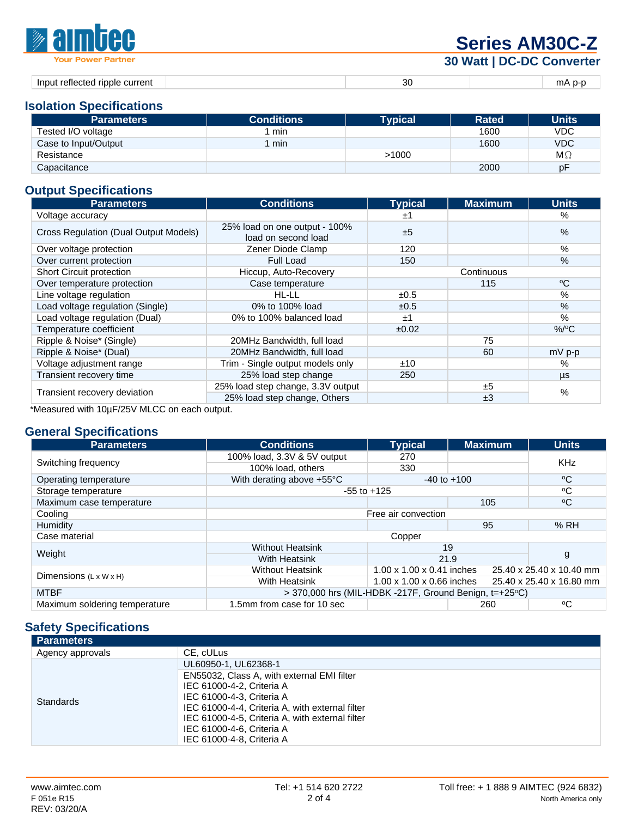| <b><i><b>Malmuee</b></i></b>                              | <b>Series AM30C-Z</b>     |                   |
|-----------------------------------------------------------|---------------------------|-------------------|
| <b>Your Power Partner</b>                                 | 30 Watt   DC-DC Converter |                   |
| المعاملين والمستحدث والمستحل والمستحل المتحاوية والمستحدة |                           | $-  \Lambda$ $ -$ |

| current<br>Inni<br>ripple<br>reflected<br>$-211$ | ' الا. | TH <i>F</i><br>. |
|--------------------------------------------------|--------|------------------|

## **Isolation Specifications**

| <b>Parameters</b>    | <b>Conditions</b> | <b>Typical</b> | <b>Rated</b> | <b>Units</b> |
|----------------------|-------------------|----------------|--------------|--------------|
| Tested I/O voltage   | min               |                | 1600         | VDC          |
| Case to Input/Output | min               |                | 1600         | <b>VDC</b>   |
| Resistance           |                   | >1000          |              | $M\Omega$    |
| Capacitance          |                   |                | 2000         | рF           |

# **Output Specifications**

| <b>Parameters</b>                     | <b>Conditions</b>                                    | <b>Typical</b> | <b>Maximum</b> | <b>Units</b> |
|---------------------------------------|------------------------------------------------------|----------------|----------------|--------------|
| Voltage accuracy                      |                                                      | ±1             |                | %            |
| Cross Regulation (Dual Output Models) | 25% load on one output - 100%<br>load on second load | ±5             |                | %            |
| Over voltage protection               | Zener Diode Clamp                                    | 120            |                | %            |
| Over current protection               | Full Load                                            | 150            |                | $\%$         |
| Short Circuit protection              | Hiccup, Auto-Recovery                                |                | Continuous     |              |
| Over temperature protection           | Case temperature                                     |                | 115            | $^{\circ}C$  |
| Line voltage regulation               | HL-LL                                                | ±0.5           |                | %            |
| Load voltage regulation (Single)      | 0% to 100% load                                      | ±0.5           |                | %            |
| Load voltage regulation (Dual)        | 0% to 100% balanced load                             | ±1             |                | %            |
| Temperature coefficient               |                                                      | ±0.02          |                | $%$ /°C      |
| Ripple & Noise* (Single)              | 20MHz Bandwidth, full load                           |                | 75             |              |
| Ripple & Noise* (Dual)                | 20MHz Bandwidth, full load                           |                | 60             | $mV$ p-p     |
| Voltage adjustment range              | Trim - Single output models only                     | ±10            |                | %            |
| Transient recovery time               | 25% load step change                                 | 250            |                | μs           |
|                                       | 25% load step change, 3.3V output                    |                | ±5             | %            |
| Transient recovery deviation          | 25% load step change, Others                         |                | ±3             |              |

\*Measured with 10µF/25V MLCC on each output.

# **General Specifications**

| <b>Parameters</b>                  | <b>Conditions</b>                                                             | <b>Typical</b>            | <b>Maximum</b> | <b>Units</b>             |  |
|------------------------------------|-------------------------------------------------------------------------------|---------------------------|----------------|--------------------------|--|
|                                    | 100% load, 3.3V & 5V output                                                   | 270                       |                | <b>KHz</b>               |  |
| Switching frequency                | 100% load, others                                                             | 330                       |                |                          |  |
| Operating temperature              | With derating above +55°C                                                     | $-40$ to $+100$           |                | $^{\circ}C$              |  |
| Storage temperature                |                                                                               | $-55$ to $+125$           |                | °C                       |  |
| Maximum case temperature           |                                                                               |                           | 105            | $\rm ^{\circ}C$          |  |
| Cooling                            | Free air convection                                                           |                           |                |                          |  |
| Humidity                           |                                                                               |                           | 95             | %RH                      |  |
| Case material                      |                                                                               | Copper                    |                |                          |  |
| Weight                             | <b>Without Heatsink</b><br>19                                                 |                           |                |                          |  |
|                                    | <b>With Heatsink</b>                                                          | 21.9                      |                | g                        |  |
| Dimensions $(L \times W \times H)$ | <b>Without Heatsink</b>                                                       | 1.00 x 1.00 x 0.41 inches |                | 25.40 x 25.40 x 10.40 mm |  |
|                                    | <b>With Heatsink</b><br>1.00 x 1.00 x 0.66 inches<br>25.40 x 25.40 x 16.80 mm |                           |                |                          |  |
| <b>MTBF</b>                        | $>$ 370,000 hrs (MIL-HDBK -217F, Ground Benign, t=+25 $^{\circ}$ C)           |                           |                |                          |  |
| Maximum soldering temperature      | 1.5mm from case for 10 sec                                                    | 260                       |                | °C                       |  |

# **Safety Specifications**

| <b>Parameters</b> |                                                 |
|-------------------|-------------------------------------------------|
| Agency approvals  | CE. cULus                                       |
|                   | UL60950-1, UL62368-1                            |
|                   | EN55032, Class A, with external EMI filter      |
|                   | IEC 61000-4-2, Criteria A                       |
| <b>Standards</b>  | IEC 61000-4-3, Criteria A                       |
|                   | IEC 61000-4-4, Criteria A, with external filter |
|                   | IEC 61000-4-5, Criteria A, with external filter |
|                   | IEC 61000-4-6, Criteria A                       |
|                   | IEC 61000-4-8. Criteria A                       |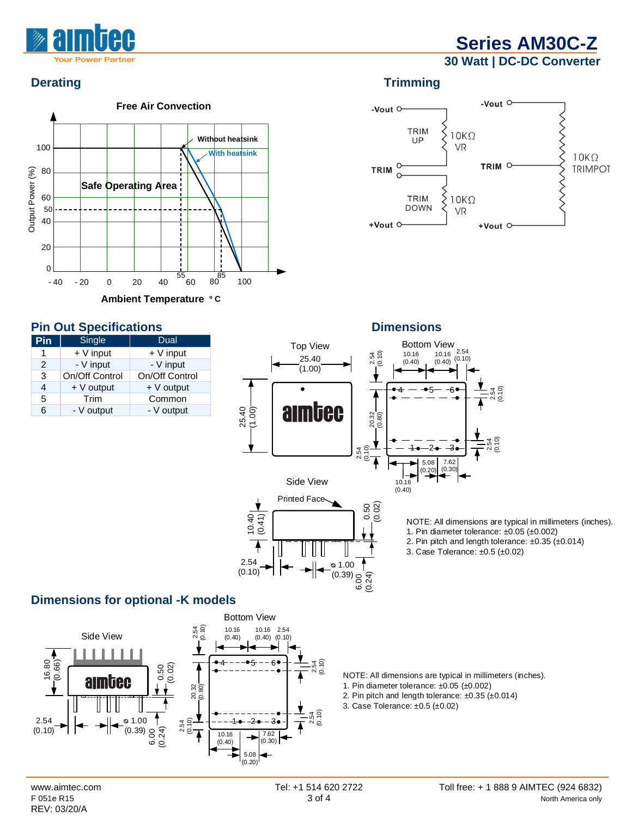

**30 Watt | DC-DC Converter**



## **Pin Out Specifications Dimensions**

| Pin           | Single         | Dual           |
|---------------|----------------|----------------|
|               | $+V$ input     | $+V$ input     |
| $\mathcal{P}$ | - V input      | - V input      |
| 3             | On/Off Control | On/Off Control |
| 4             | $+V$ output    | $+V$ output    |
| 5             | Trim           | Common         |
| 6             | - V output     | - V output     |

# **Derating Trimming**



**10.16**<br>
10.16 10.16<br>
(0.40) (0.40) View<br>10.16 <sup>2.54</sup><br>(0.40) <sup>(0.10)</sup> Top View Bottom View 2.54 (0.10) 2.54 25.40 (1.00)  $4 - - -5 - -6$ 2.54 (0.10) aimbec 20.32 (0.80) (0.10)  $-3$ <br>  $7.62$ <br>  $(0.30)$ 2.54 1•—2• –3 2.54 (0.10) ∡ 5.0 8  $\begin{array}{c} \begin{matrix} \end{matrix} \\ \end{array}$ <br>(0.40)  $(0.20)$ Side View 10.16 Printed Face (0.02)  $(0.24)$   $\leftarrow$  0.50 10.40 (0.41)

NOTE: All dimensions are typical in millimeters (inches). 1. Pin diameter tolerance: ±0.05 (±0.002)

- 2. Pin pitch and length tolerance: ±0.35 (±0.014)
- 3. Case Tolerance: ±0.5 (±0.02)

## **Dimensions for optional -K models**



25.40 (1.00)

2.54 (0.10)

NOTE: All dimensions are typical in millimeters (inches).

- 1. Pin diameter tolerance: ±0.05 (±0.002)
- 2. Pin pitch and length tolerance: ±0.35 (±0.014)
- 3. Case Tolerance: ±0.5 (±0.02)

ᴓ 1.00 : چ (0.39)<br>م

1